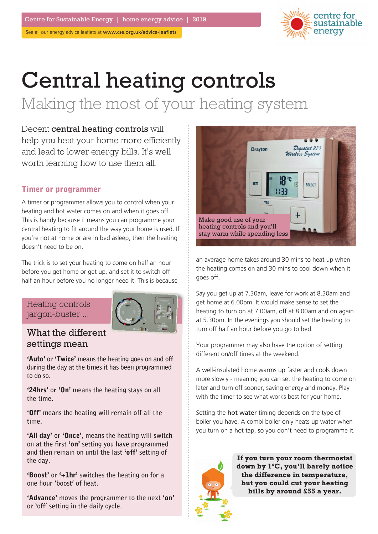See all our energy advice leaflets at www.cse.org.uk/advice-leaflets



# Central heating controls

Making the most of your heating system

Decent central heating controls will help you heat your home more efficiently and lead to lower energy bills. It's well worth learning how to use them all.

## **Timer or programmer**

A timer or programmer allows you to control when your heating and hot water comes on and when it goes off. This is handy because it means you can programme your central heating to fit around the way your home is used. If you're not at home or are in bed asleep, then the heating doesn't need to be on.

The trick is to set your heating to come on half an hour before you get home or get up, and set it to switch off half an hour before you no longer need it. This is because

Heating controls jargon-buster ...



# What the different settings mean

**'Auto' or 'Twice' means the heating goes on and off during the day at the times it has been programmed to do so.** 

**'24hrs' or 'On' means the heating stays on all the time.**

**'Off' means the heating will remain off all the time.**

**'All day' or 'Once', means the heating will switch on at the first 'on' setting you have programmed and then remain on until the last 'off' setting of the day.**

**'Boost' or '+1hr' switches the heating on for a one hour 'boost' of heat.**

**'Advance' moves the programmer to the next 'on' or 'off' setting in the daily cycle.**



an average home takes around 30 mins to heat up when the heating comes on and 30 mins to cool down when it goes off.

Say you get up at 7.30am, leave for work at 8.30am and get home at 6.00pm. It would make sense to set the heating to turn on at 7:00am, off at 8.00am and on again at 5.30pm. In the evenings you should set the heating to turn off half an hour before you go to bed.

Your programmer may also have the option of setting different on/off times at the weekend.

A well-insulated home warms up faster and cools down more slowly - meaning you can set the heating to come on later and turn off sooner, saving energy and money. Play with the timer to see what works best for your home.

Setting the hot water timing depends on the type of boiler you have. A combi boiler only heats up water when you turn on a hot tap, so you don't need to programme it.



**If you turn your room thermostat down by 1ºC, you'll barely notice the difference in temperature, but you could cut your heating bills by around £55 a year.**